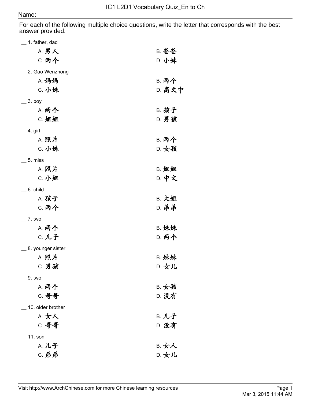For each of the following multiple choice questions, write the letter that corresponds with the best answer provided.

| $\_$ 1. father, dad |              |
|---------------------|--------------|
| <b>A. 男人</b>        | B. 爸爸        |
| <b>C. 两个</b>        | D. 小妹        |
| 2. Gao Wenzhong     |              |
| A. 妈妈               | <b>B. 两个</b> |
| C. 小妹               | D. 高文中       |
| $=$ 3. boy          |              |
| <b>A. 两个</b>        | <b>B. 孩子</b> |
| C. 姐姐               | <b>D. 男孩</b> |
| $=$ 4. girl         |              |
| A. 照片               | <b>B. 两个</b> |
| C. 小妹               | D. 女孩        |
| $\_$ 5. miss        |              |
| A. 照片               | B. 姐姐        |
| C. 小姐               | <b>D. 中文</b> |
| $\_$ 6. child       |              |
| A. 孩子               | B. 大姐        |
| <b>C. 两个</b>        | <b>D. 弟弟</b> |
| $-7.$ two           |              |
| <b>A. 两个</b>        | B. 妹妹        |
| C. 儿子               | <b>D. 两个</b> |
| _ 8. younger sister |              |
| A. 照片               | B. 妹妹        |
| C. 男孩               | D. 女儿        |
| $=$ 9. two          |              |
| A. 两个               | B. 女孩        |
| C. 哥哥               | D. 没有        |
| 10. older brother   |              |
| A. 女人               | B. 儿子        |
| C. 哥哥               | D. 没有        |
| $\_$ 11. son        |              |
| A. 儿子               | B. 女人        |
| C. 弟弟               | D. 女儿        |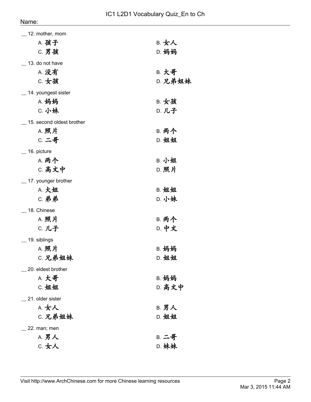| $\_$ 12. mother, mom      |              |
|---------------------------|--------------|
| A. 孩子                     | B. 女人        |
| C. 男孩                     | D. 妈妈        |
| $\_$ 13. do not have      |              |
| A. 没有                     | <b>B. 大哥</b> |
| C. 女孩                     | D. 兄弟姐妹      |
| $\_$ 14. youngest sister  |              |
| A. 妈妈                     | B. 女孩        |
| C. 小妹                     | D. 儿子        |
| 15. second oldest brother |              |
| A. 照片                     | <b>B. 两个</b> |
| C. 二哥                     | D. 姐姐        |
| $=$ 16. picture           |              |
| A. 两个                     | B. 小姐        |
| C. 高文中                    | D. 照片        |
| _ 17. younger brother     |              |
| A. 大姐                     | B. 姐姐        |
| <b>C. 弟弟</b>              | D. 小妹        |
| _18. Chinese              |              |
| A. 照片                     | <b>B. 两个</b> |
| C. 儿子                     | D. 中文        |
| $\_$ 19. siblings         |              |
| A. 照片                     | B. 妈妈        |
| C. 兄弟姐妹                   | D. 姐姐        |
| 20. eldest brother        |              |
| A. 大哥                     | B. 妈妈        |
| C. 姐姐                     | D. 高文中       |
| 21. older sister          |              |
| A. 女人                     | <b>B. 男人</b> |
| C. 兄弟姐妹                   | D. 姐姐        |
| 22. man; men              |              |
| A. 男人                     | <b>B. 二哥</b> |
| C. 女人                     | D. 妹妹        |